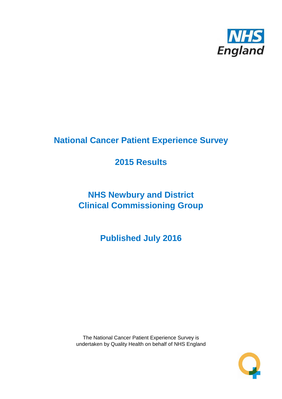

# **National Cancer Patient Experience Survey**

# **2015 Results**

# **NHS Newbury and District Clinical Commissioning Group**

**Published July 2016**

The National Cancer Patient Experience Survey is undertaken by Quality Health on behalf of NHS England

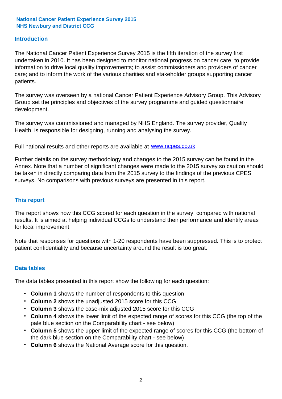### **Introduction**

The National Cancer Patient Experience Survey 2015 is the fifth iteration of the survey first undertaken in 2010. It has been designed to monitor national progress on cancer care; to provide information to drive local quality improvements; to assist commissioners and providers of cancer care; and to inform the work of the various charities and stakeholder groups supporting cancer patients.

The survey was overseen by a national Cancer Patient Experience Advisory Group. This Advisory Group set the principles and objectives of the survey programme and guided questionnaire development.

The survey was commissioned and managed by NHS England. The survey provider, Quality Health, is responsible for designing, running and analysing the survey.

Full national results and other reports are available at www.ncpes.co.uk

Further details on the survey methodology and changes to the 2015 survey can be found in the Annex. Note that a number of significant changes were made to the 2015 survey so caution should be taken in directly comparing data from the 2015 survey to the findings of the previous CPES surveys. No comparisons with previous surveys are presented in this report.

#### **This report**

The report shows how this CCG scored for each question in the survey, compared with national results. It is aimed at helping individual CCGs to understand their performance and identify areas for local improvement.

Note that responses for questions with 1-20 respondents have been suppressed. This is to protect patient confidentiality and because uncertainty around the result is too great.

#### **Data tables**

The data tables presented in this report show the following for each question:

- **Column 1** shows the number of respondents to this question
- **Column 2** shows the unadjusted 2015 score for this CCG
- **Column 3** shows the case-mix adjusted 2015 score for this CCG
- **Column 4** shows the lower limit of the expected range of scores for this CCG (the top of the pale blue section on the Comparability chart - see below)
- **Column 5** shows the upper limit of the expected range of scores for this CCG (the bottom of the dark blue section on the Comparability chart - see below)
- **Column 6** shows the National Average score for this question.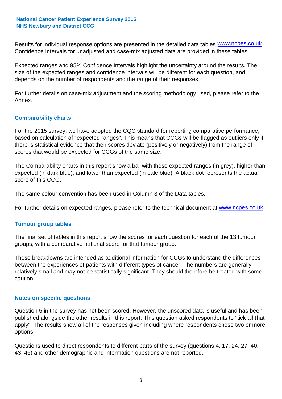Results for individual response options are presented in the detailed data tables **WWW.ncpes.co.uk** Confidence Intervals for unadjusted and case-mix adjusted data are provided in these tables.

Expected ranges and 95% Confidence Intervals highlight the uncertainty around the results. The size of the expected ranges and confidence intervals will be different for each question, and depends on the number of respondents and the range of their responses.

For further details on case-mix adjustment and the scoring methodology used, please refer to the Annex.

### **Comparability charts**

For the 2015 survey, we have adopted the CQC standard for reporting comparative performance, based on calculation of "expected ranges". This means that CCGs will be flagged as outliers only if there is statistical evidence that their scores deviate (positively or negatively) from the range of scores that would be expected for CCGs of the same size.

The Comparability charts in this report show a bar with these expected ranges (in grey), higher than expected (in dark blue), and lower than expected (in pale blue). A black dot represents the actual score of this CCG.

The same colour convention has been used in Column 3 of the Data tables.

For further details on expected ranges, please refer to the technical document at **www.ncpes.co.uk** 

#### **Tumour group tables**

The final set of tables in this report show the scores for each question for each of the 13 tumour groups, with a comparative national score for that tumour group.

These breakdowns are intended as additional information for CCGs to understand the differences between the experiences of patients with different types of cancer. The numbers are generally relatively small and may not be statistically significant. They should therefore be treated with some caution.

#### **Notes on specific questions**

Question 5 in the survey has not been scored. However, the unscored data is useful and has been published alongside the other results in this report. This question asked respondents to "tick all that apply". The results show all of the responses given including where respondents chose two or more options.

Questions used to direct respondents to different parts of the survey (questions 4, 17, 24, 27, 40, 43, 46) and other demographic and information questions are not reported.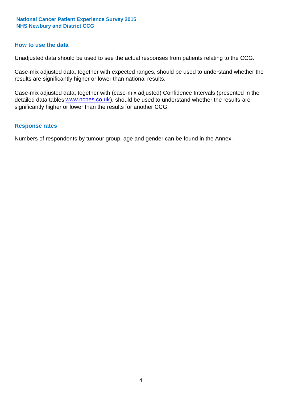#### **How to use the data**

Unadjusted data should be used to see the actual responses from patients relating to the CCG.

Case-mix adjusted data, together with expected ranges, should be used to understand whether the results are significantly higher or lower than national results.

Case-mix adjusted data, together with (case-mix adjusted) Confidence Intervals (presented in the detailed data tables **www.ncpes.co.uk**), should be used to understand whether the results are significantly higher or lower than the results for another CCG.

#### **Response rates**

Numbers of respondents by tumour group, age and gender can be found in the Annex.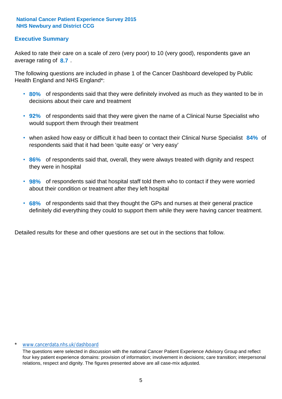### **Executive Summary**

average rating of 8.7. Asked to rate their care on a scale of zero (very poor) to 10 (very good), respondents gave an

The following questions are included in phase 1 of the Cancer Dashboard developed by Public Health England and NHS England\*:

- **80%** of respondents said that they were definitely involved as much as they wanted to be in decisions about their care and treatment
- **92%** of respondents said that they were given the name of a Clinical Nurse Specialist who would support them through their treatment
- when asked how easy or difficult it had been to contact their Clinical Nurse Specialist 84% of respondents said that it had been 'quite easy' or 'very easy'
- **86%** of respondents said that, overall, they were always treated with dignity and respect they were in hospital
- **98%** of respondents said that hospital staff told them who to contact if they were worried about their condition or treatment after they left hospital
- **68%** of respondents said that they thought the GPs and nurses at their general practice definitely did everything they could to support them while they were having cancer treatment.

Detailed results for these and other questions are set out in the sections that follow.

#### www.cancerdata.nhs.uk/dashboard

The questions were selected in discussion with the national Cancer Patient Experience Advisory Group and reflect four key patient experience domains: provision of information; involvement in decisions; care transition; interpersonal relations, respect and dignity. The figures presented above are all case-mix adjusted.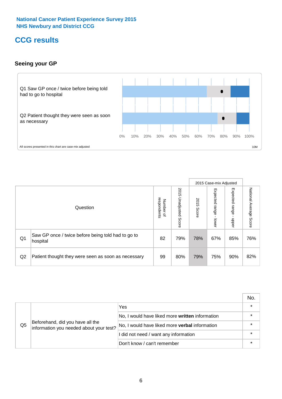## **CCG results**

## **Seeing your GP**



|    |                                                                |                                         |                             |               | 2015 Case-mix Adjusted     |                            |                        |
|----|----------------------------------------------------------------|-----------------------------------------|-----------------------------|---------------|----------------------------|----------------------------|------------------------|
|    | Question                                                       | respondents<br>Number<br>$\overline{a}$ | 2015<br>Unadjusted<br>Score | 2015<br>Score | Expected<br>range<br>lower | Expected<br>range<br>nbber | National Average Score |
| Q1 | Saw GP once / twice before being told had to go to<br>hospital | 82                                      | 79%                         | 78%           | 67%                        | 85%                        | 76%                    |
| Q2 | Patient thought they were seen as soon as necessary            | 99                                      | 80%                         | 79%           | 75%                        | 90%                        | 82%                    |

|    |                                                                             |                                                 | No. |
|----|-----------------------------------------------------------------------------|-------------------------------------------------|-----|
|    | Beforehand, did you have all the<br>information you needed about your test? | Yes                                             |     |
|    |                                                                             | No, I would have liked more written information |     |
| Q5 |                                                                             | No, I would have liked more verbal information  |     |
|    |                                                                             | I did not need / want any information           |     |
|    |                                                                             | Don't know / can't remember                     |     |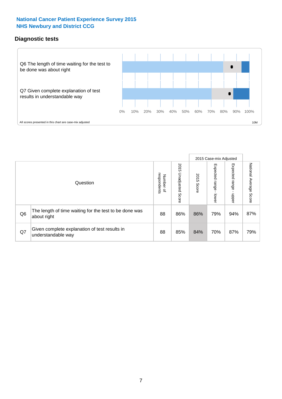### **Diagnostic tests**



|                |                                                                       |                                    |                             |               | 2015 Case-mix Adjusted  |                         |                           |
|----------------|-----------------------------------------------------------------------|------------------------------------|-----------------------------|---------------|-------------------------|-------------------------|---------------------------|
|                | Question                                                              | Number of<br>respondents<br>Number | 2015<br>Unadjusted<br>Score | 2015<br>Score | Expected range<br>lower | Expected range<br>nbber | National Average<br>Score |
| Q <sub>6</sub> | The length of time waiting for the test to be done was<br>about right | 88                                 | 86%                         | 86%           | 79%                     | 94%                     | 87%                       |
| Q7             | Given complete explanation of test results in<br>understandable way   | 88                                 | 85%                         | 84%           | 70%                     | 87%                     | 79%                       |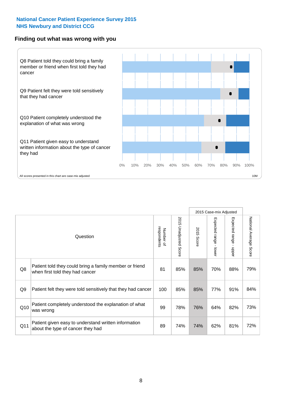#### **Finding out what was wrong with you**



|                |                                                                                            |                          |                       |               | 2015 Case-mix Adjusted                  |                           |                        |
|----------------|--------------------------------------------------------------------------------------------|--------------------------|-----------------------|---------------|-----------------------------------------|---------------------------|------------------------|
|                | Question                                                                                   | respondents<br>Number of | 2015 Unadjusted Score | 2015<br>Score | Expected range<br>$\mathbf{L}$<br>lower | Expected range -<br>hbber | National Average Score |
| Q8             | Patient told they could bring a family member or friend<br>when first told they had cancer | 81                       | 85%                   | 85%           | 70%                                     | 88%                       | 79%                    |
| Q <sub>9</sub> | Patient felt they were told sensitively that they had cancer                               | 100                      | 85%                   | 85%           | 77%                                     | 91%                       | 84%                    |
| Q10            | Patient completely understood the explanation of what<br>was wrong                         | 99                       | 78%                   | 76%           | 64%                                     | 82%                       | 73%                    |
| Q11            | Patient given easy to understand written information<br>about the type of cancer they had  | 89                       | 74%                   | 74%           | 62%                                     | 81%                       | 72%                    |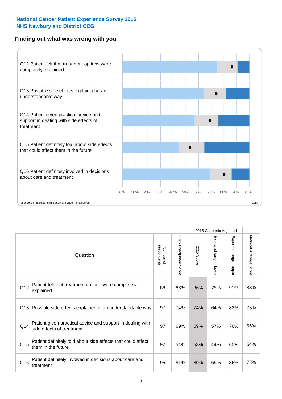### **Finding out what was wrong with you**



|     |                                                                                         |    |                                 | 2015 Case-mix Adjusted |                                         |                           |                        |
|-----|-----------------------------------------------------------------------------------------|----|---------------------------------|------------------------|-----------------------------------------|---------------------------|------------------------|
|     | Question                                                                                |    | 2015<br><b>Unadjusted Score</b> | 2015<br>Score          | Expected range<br>$\mathbf{r}$<br>lower | Expected range<br>- nbbeu | National Average Score |
| Q12 | Patient felt that treatment options were completely<br>explained                        | 88 | 86%                             | 86%                    | 75%                                     | 91%                       | 83%                    |
| Q13 | Possible side effects explained in an understandable way                                | 97 | 74%                             | 74%                    | 64%                                     | 82%                       | 73%                    |
| Q14 | Patient given practical advice and support in dealing with<br>side effects of treatment | 97 | 69%                             | 69%                    | 57%                                     | 76%                       | 66%                    |
| Q15 | Patient definitely told about side effects that could affect<br>them in the future      | 92 | 54%                             | 53%                    | 44%                                     | 65%                       | 54%                    |
| Q16 | Patient definitely involved in decisions about care and<br>treatment                    | 95 | 81%                             | 80%                    | 69%                                     | 86%                       | 78%                    |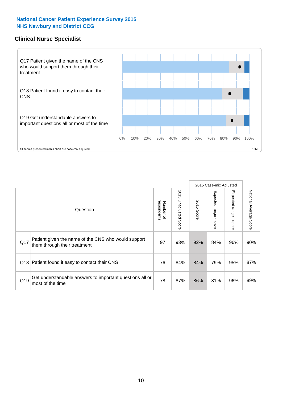### **Clinical Nurse Specialist**



|     |                                                                                     |                          |                       |               | 2015 Case-mix Adjusted  |                         |                                  |
|-----|-------------------------------------------------------------------------------------|--------------------------|-----------------------|---------------|-------------------------|-------------------------|----------------------------------|
|     | Question                                                                            | Number of<br>respondents | 2015 Unadjusted Score | 2015<br>Score | Expected range<br>lower | Expected range<br>nbber | National Average<br><b>Score</b> |
| Q17 | Patient given the name of the CNS who would support<br>them through their treatment | 97                       | 93%                   | 92%           | 84%                     | 96%                     | 90%                              |
| Q18 | Patient found it easy to contact their CNS                                          | 76                       | 84%                   | 84%           | 79%                     | 95%                     | 87%                              |
| Q19 | Get understandable answers to important questions all or<br>most of the time        | 78                       | 87%                   | 86%           | 81%                     | 96%                     | 89%                              |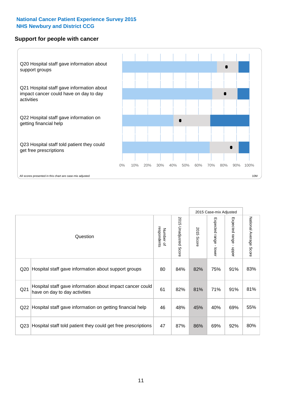#### **Support for people with cancer**



|                 |                                                                                            |                          |                                 |               | 2015 Case-mix Adjusted  |                                         |                        |
|-----------------|--------------------------------------------------------------------------------------------|--------------------------|---------------------------------|---------------|-------------------------|-----------------------------------------|------------------------|
|                 | Question                                                                                   | respondents<br>Number of | 2015<br><b>Unadjusted Score</b> | 2015<br>Score | Expected range<br>lower | Expected range<br>$\mathbf{I}$<br>nbber | National Average Score |
| Q <sub>20</sub> | Hospital staff gave information about support groups                                       | 80                       | 84%                             | 82%           | 75%                     | 91%                                     | 83%                    |
| Q <sub>21</sub> | Hospital staff gave information about impact cancer could<br>have on day to day activities | 61                       | 82%                             | 81%           | 71%                     | 91%                                     | 81%                    |
| Q22             | Hospital staff gave information on getting financial help                                  | 46                       | 48%                             | 45%           | 40%                     | 69%                                     | 55%                    |
| Q <sub>23</sub> | Hospital staff told patient they could get free prescriptions                              | 47                       | 87%                             | 86%           | 69%                     | 92%                                     | 80%                    |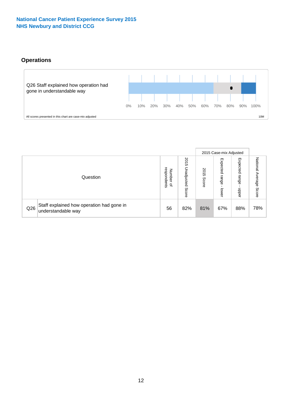## **Operations**



|     |                                                                 |                                              |                             |                   | 2015 Case-mix Adjusted     |                            |                              |
|-----|-----------------------------------------------------------------|----------------------------------------------|-----------------------------|-------------------|----------------------------|----------------------------|------------------------------|
|     | Question                                                        | respondents<br>Number<br>$\overline{\sigma}$ | 2015<br>Unadjusted<br>Score | 201<br>c<br>Score | Expected<br>range<br>lower | Expected<br>range<br>doper | National<br>Average<br>Score |
| Q26 | Staff explained how operation had gone in<br>understandable way | 56                                           | 82%                         | 81%               | 67%                        | 88%                        | 78%                          |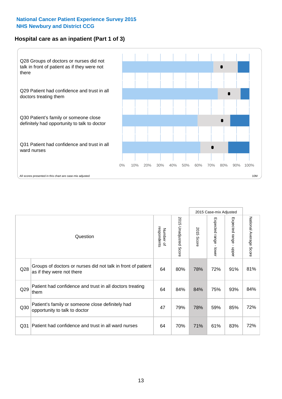## **Hospital care as an inpatient (Part 1 of 3)**



All scores presented in this chart are case-mix adjusted  $\blacksquare$  and  $\blacksquare$  and  $\blacksquare$  and  $\blacksquare$  and  $\blacksquare$  10M

|                 |                                                                                           |                          |                       |               | 2015 Case-mix Adjusted                  |                                           |                        |
|-----------------|-------------------------------------------------------------------------------------------|--------------------------|-----------------------|---------------|-----------------------------------------|-------------------------------------------|------------------------|
|                 | Question                                                                                  | respondents<br>Number of | 2015 Unadjusted Score | 2015<br>Score | Expected range<br>$\mathbf{r}$<br>lower | Expected range<br>$\blacksquare$<br>nbber | National Average Score |
| Q <sub>28</sub> | Groups of doctors or nurses did not talk in front of patient<br>as if they were not there | 64                       | 80%                   | 78%           | 72%                                     | 91%                                       | 81%                    |
| Q29             | Patient had confidence and trust in all doctors treating<br>them                          | 64                       | 84%                   | 84%           | 75%                                     | 93%                                       | 84%                    |
| Q30             | Patient's family or someone close definitely had<br>opportunity to talk to doctor         | 47                       | 79%                   | 78%           | 59%                                     | 85%                                       | 72%                    |
| Q <sub>31</sub> | Patient had confidence and trust in all ward nurses                                       | 64                       | 70%                   | 71%           | 61%                                     | 83%                                       | 72%                    |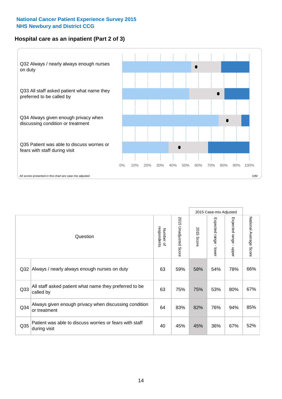## **Hospital care as an inpatient (Part 2 of 3)**



|                 |                                                                         |                          |                       |               | 2015 Case-mix Adjusted |                                         |                        |
|-----------------|-------------------------------------------------------------------------|--------------------------|-----------------------|---------------|------------------------|-----------------------------------------|------------------------|
|                 | Question                                                                | respondents<br>Number of | 2015 Unadjusted Score | 2015<br>Score | Expected range - lower | Expected range<br>$\mathbf{r}$<br>nbber | National Average Score |
| Q <sub>32</sub> | Always / nearly always enough nurses on duty                            | 63                       | 59%                   | 58%           | 54%                    | 78%                                     | 66%                    |
| Q <sub>33</sub> | All staff asked patient what name they preferred to be<br>called by     | 63                       | 75%                   | 75%           | 53%                    | 80%                                     | 67%                    |
| Q <sub>34</sub> | Always given enough privacy when discussing condition<br>or treatment   | 64                       | 83%                   | 82%           | 76%                    | 94%                                     | 85%                    |
| Q35             | Patient was able to discuss worries or fears with staff<br>during visit | 40                       | 45%                   | 45%           | 36%                    | 67%                                     | 52%                    |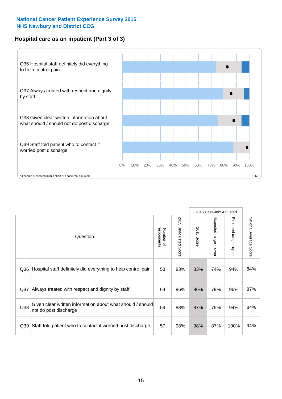## **Hospital care as an inpatient (Part 3 of 3)**



|                 |                                                                                     |                          |                                 |               | 2015 Case-mix Adjusted                  |                           |                        |
|-----------------|-------------------------------------------------------------------------------------|--------------------------|---------------------------------|---------------|-----------------------------------------|---------------------------|------------------------|
|                 | Question                                                                            | respondents<br>Number of | 2015<br><b>Unadjusted Score</b> | 2015<br>Score | Expected range<br>$\mathbf{r}$<br>lower | Expected range -<br>nbber | National Average Score |
| Q36             | Hospital staff definitely did everything to help control pain                       | 53                       | 83%                             | 83%           | 74%                                     | 94%                       | 84%                    |
| Q <sub>37</sub> | Always treated with respect and dignity by staff                                    | 64                       | 86%                             | 86%           | 79%                                     | 96%                       | 87%                    |
| Q38             | Given clear written information about what should / should<br>not do post discharge | 59                       | 88%                             | 87%           | 75%                                     | 94%                       | 84%                    |
| Q39             | Staff told patient who to contact if worried post discharge                         | 57                       | 98%                             | 98%           | 87%                                     | 100%                      | 94%                    |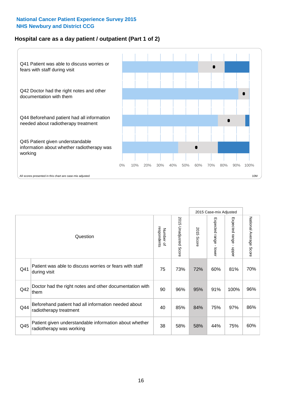## **Hospital care as a day patient / outpatient (Part 1 of 2)**



|     |                                                                                    |                          |                                 |               | 2015 Case-mix Adjusted                  |                                         |                        |
|-----|------------------------------------------------------------------------------------|--------------------------|---------------------------------|---------------|-----------------------------------------|-----------------------------------------|------------------------|
|     | Question                                                                           | respondents<br>Number of | 2015<br><b>Unadjusted Score</b> | 2015<br>Score | Expected range<br>$\mathbf{I}$<br>lower | Expected range<br>$\mathbf{r}$<br>nbber | National Average Score |
| Q41 | Patient was able to discuss worries or fears with staff<br>during visit            | 75                       | 73%                             | 72%           | 60%                                     | 81%                                     | 70%                    |
| Q42 | Doctor had the right notes and other documentation with<br>them                    | 90                       | 96%                             | 95%           | 91%                                     | 100%                                    | 96%                    |
| Q44 | Beforehand patient had all information needed about<br>radiotherapy treatment      | 40                       | 85%                             | 84%           | 75%                                     | 97%                                     | 86%                    |
| Q45 | Patient given understandable information about whether<br>radiotherapy was working | 38                       | 58%                             | 58%           | 44%                                     | 75%                                     | 60%                    |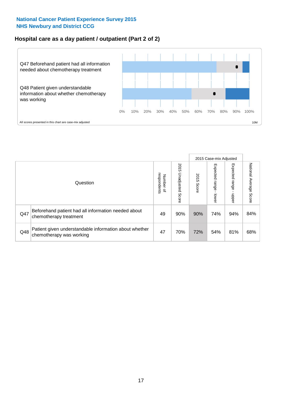## **Hospital care as a day patient / outpatient (Part 2 of 2)**



|     |                                                                                    |                                       |                             |               | 2015 Case-mix Adjusted       |                         |                           |
|-----|------------------------------------------------------------------------------------|---------------------------------------|-----------------------------|---------------|------------------------------|-------------------------|---------------------------|
|     | Question                                                                           | respondents<br>Number<br>$\mathbf{Q}$ | 2015<br>Unadjusted<br>Score | 2015<br>Score | Expected<br>I range<br>lower | Expected range<br>nbber | National Average<br>Score |
| Q47 | Beforehand patient had all information needed about<br>chemotherapy treatment      | 49                                    | 90%                         | 90%           | 74%                          | 94%                     | 84%                       |
| Q48 | Patient given understandable information about whether<br>chemotherapy was working | 47                                    | 70%                         | 72%           | 54%                          | 81%                     | 68%                       |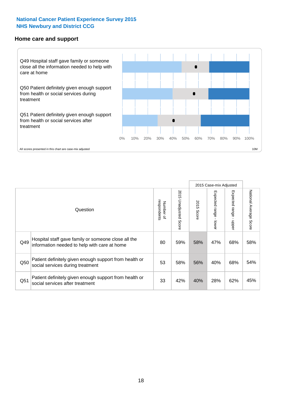#### **Home care and support**



All scores presented in this chart are case-mix adjusted

|                 |                                                                                                     | 2015 Case-mix Adjusted   |                          |               |                         |                         |                        |
|-----------------|-----------------------------------------------------------------------------------------------------|--------------------------|--------------------------|---------------|-------------------------|-------------------------|------------------------|
|                 | Question                                                                                            | respondents<br>Number of | 2015<br>Unadjusted Score | 2015<br>Score | Expected range<br>lower | Expected range<br>nbber | National Average Score |
| Q49             | Hospital staff gave family or someone close all the<br>information needed to help with care at home | 80                       | 59%                      | 58%           | 47%                     | 68%                     | 58%                    |
| Q50             | Patient definitely given enough support from health or<br>social services during treatment          | 53                       | 58%                      | 56%           | 40%                     | 68%                     | 54%                    |
| Q <sub>51</sub> | Patient definitely given enough support from health or<br>social services after treatment           | 33                       | 42%                      | 40%           | 28%                     | 62%                     | 45%                    |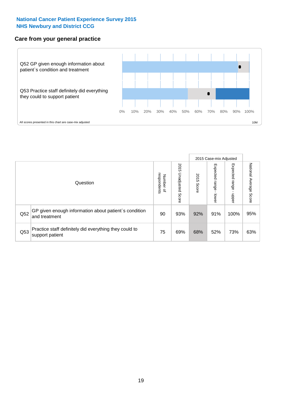### **Care from your general practice**



|     |                                                                           |                                              |                             |               |                                   | 2015 Case-mix Adjusted     |                           |
|-----|---------------------------------------------------------------------------|----------------------------------------------|-----------------------------|---------------|-----------------------------------|----------------------------|---------------------------|
|     | Question                                                                  | respondents<br>Number<br>$\overline{\sigma}$ | 2015<br>Unadjusted<br>Score | 2015<br>Score | Expected<br><b>Lange</b><br>lower | Expected<br>range<br>doper | National Average<br>Score |
| Q52 | GP given enough information about patient's condition<br>and treatment    | 90                                           | 93%                         | 92%           | 91%                               | 100%                       | 95%                       |
| Q53 | Practice staff definitely did everything they could to<br>support patient | 75                                           | 69%                         | 68%           | 52%                               | 73%                        | 63%                       |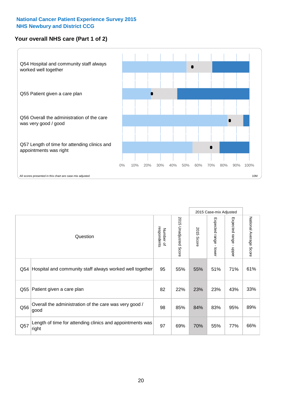## **Your overall NHS care (Part 1 of 2)**



|     |                                                                    |                          |                                 | 2015 Case-mix Adjusted |                                           |                           |                        |
|-----|--------------------------------------------------------------------|--------------------------|---------------------------------|------------------------|-------------------------------------------|---------------------------|------------------------|
|     | Question                                                           | respondents<br>Number of | 2015<br><b>Unadjusted Score</b> | 2015<br>Score          | Expected range<br>$\blacksquare$<br>lower | Expected range<br>- nbber | National Average Score |
| Q54 | Hospital and community staff always worked well together           | 95                       | 55%                             | 55%                    | 51%                                       | 71%                       | 61%                    |
| Q55 | Patient given a care plan                                          | 82                       | 22%                             | 23%                    | 23%                                       | 43%                       | 33%                    |
| Q56 | Overall the administration of the care was very good /<br>good     | 98                       | 85%                             | 84%                    | 83%                                       | 95%                       | 89%                    |
| Q57 | Length of time for attending clinics and appointments was<br>right | 97                       | 69%                             | 70%                    | 55%                                       | 77%                       | 66%                    |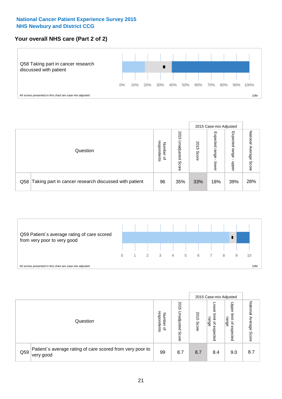## **Your overall NHS care (Part 2 of 2)**



|     |                                                       |                                              |                             |               |                            | 2015 Case-mix Adjusted     |                        |
|-----|-------------------------------------------------------|----------------------------------------------|-----------------------------|---------------|----------------------------|----------------------------|------------------------|
|     | Question                                              | respondents<br>Number<br>$\overline{\sigma}$ | 2015<br>Unadjusted<br>Score | 2015<br>Score | Expected<br>range<br>lower | Expected<br>range<br>doper | National Average Score |
| Q58 | Taking part in cancer research discussed with patient | 96                                           | 35%                         | 33%           | 18%                        | 39%                        | 28%                    |



|     |                                                                        |                                              |                             |               |                                         | 2015 Case-mix Adjusted                   |                              |
|-----|------------------------------------------------------------------------|----------------------------------------------|-----------------------------|---------------|-----------------------------------------|------------------------------------------|------------------------------|
|     | Question                                                               | respondents<br>Number<br>$\overline{\sigma}$ | 2015<br>Inadjusted<br>Score | 2015<br>Score | OWer<br>limit<br>range<br>₽<br>expected | Upper<br>limit<br>range<br>õ<br>expected | National<br>Average<br>Score |
| Q59 | Patient's average rating of care scored from very poor to<br>very good | 99                                           | 8.7                         | 8.7           | 8.4                                     | 9.0                                      | 8.7                          |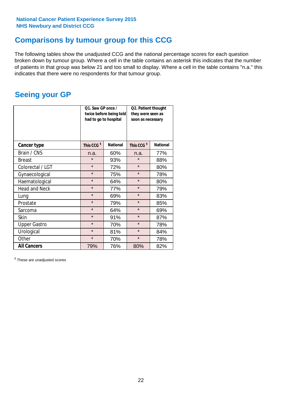## **Comparisons by tumour group for this CCG**

The following tables show the unadjusted CCG and the national percentage scores for each question broken down by tumour group. Where a cell in the table contains an asterisk this indicates that the number of patients in that group was below 21 and too small to display. Where a cell in the table contains "n.a." this indicates that there were no respondents for that tumour group.

## **Seeing your GP**

|                      | Q1. Saw GP once /<br>had to go to hospital | twice before being told | Q2. Patient thought<br>they were seen as<br>soon as necessary |                 |  |
|----------------------|--------------------------------------------|-------------------------|---------------------------------------------------------------|-----------------|--|
| <b>Cancer type</b>   | This CCG <sup>\$</sup>                     | <b>National</b>         | This CCG <sup>\$</sup>                                        | <b>National</b> |  |
| Brain / CNS          | n.a.                                       | 60%                     | n.a.                                                          | 77%             |  |
| <b>Breast</b>        | $\star$                                    | 93%                     | $\star$                                                       | 88%             |  |
| Colorectal / LGT     | $\star$                                    | 72%                     | $\star$                                                       | 80%             |  |
| Gynaecological       | $\star$                                    | 75%                     | $\star$                                                       | 78%             |  |
| Haematological       | $\star$                                    | 64%                     | $\star$                                                       | 80%             |  |
| <b>Head and Neck</b> | $\star$                                    | 77%                     | $\star$                                                       | 79%             |  |
| Lung                 | $\star$                                    | 69%                     | $\star$                                                       | 83%             |  |
| Prostate             | $\star$                                    | 79%                     | $\star$                                                       | 85%             |  |
| Sarcoma              | $\star$                                    | 64%                     | $\star$                                                       | 69%             |  |
| <b>Skin</b>          | $\star$                                    | 91%                     | $\star$                                                       | 87%             |  |
| <b>Upper Gastro</b>  | $\star$                                    | 70%                     | $\star$                                                       | 78%             |  |
| Urological           | $\star$                                    | 81%                     | $\star$                                                       | 84%             |  |
| Other                | $\star$                                    | 70%                     | $\star$                                                       | 78%             |  |
| <b>All Cancers</b>   | 79%                                        | 76%                     | 80%                                                           | 82%             |  |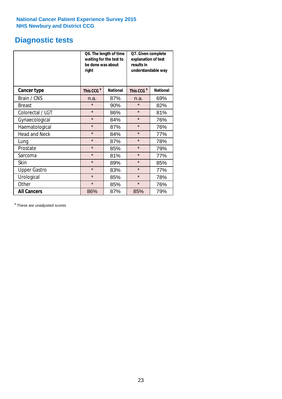## **Diagnostic tests**

|                      | be done was about<br>right | Q6. The length of time<br>waiting for the test to | Q7. Given complete<br>explanation of test<br>results in<br>understandable way |                 |  |
|----------------------|----------------------------|---------------------------------------------------|-------------------------------------------------------------------------------|-----------------|--|
| <b>Cancer type</b>   | This CCG <sup>\$</sup>     | <b>National</b>                                   | This CCG <sup>\$</sup>                                                        | <b>National</b> |  |
| Brain / CNS          | n.a.                       | 87%                                               | n.a.                                                                          | 69%             |  |
| <b>Breast</b>        | $\star$                    | 90%                                               | $\star$                                                                       | 82%             |  |
| Colorectal / LGT     | $\star$                    | 86%                                               | $\star$                                                                       | 81%             |  |
| Gynaecological       | $\star$                    | 84%                                               | $\star$                                                                       | 76%             |  |
| Haematological       | $\star$                    | 87%                                               | $\star$                                                                       | 76%             |  |
| <b>Head and Neck</b> | $\star$                    | 84%                                               | $\star$                                                                       | 77%             |  |
| Lung                 | $\star$                    | 87%                                               | $\star$                                                                       | 78%             |  |
| Prostate             | $\star$                    | 85%                                               | $\star$                                                                       | 79%             |  |
| Sarcoma              | $\star$                    | 81%                                               | $\star$                                                                       | 77%             |  |
| Skin                 | $\star$                    | 89%                                               | $\star$                                                                       | 85%             |  |
| <b>Upper Gastro</b>  | $\star$                    | 83%                                               | $\star$                                                                       | 77%             |  |
| Urological           | $\star$                    | 85%                                               | $\star$                                                                       | 78%             |  |
| Other                | $\star$<br>85%             |                                                   | $\star$                                                                       | 76%             |  |
| <b>All Cancers</b>   | 86%                        | 87%                                               | 85%                                                                           | 79%             |  |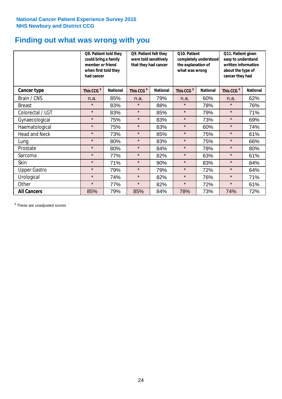## **Finding out what was wrong with you**

|                      | Q8. Patient told they<br>could bring a family<br>member or friend<br>when first told they<br>had cancer |                 | Q9. Patient felt they<br>were told sensitively<br>that they had cancer |                 | Q10. Patient<br>completely understood<br>the explanation of<br>what was wrong |                 | Q11. Patient given<br>easy to understand<br>written information<br>about the type of<br>cancer they had |                 |
|----------------------|---------------------------------------------------------------------------------------------------------|-----------------|------------------------------------------------------------------------|-----------------|-------------------------------------------------------------------------------|-----------------|---------------------------------------------------------------------------------------------------------|-----------------|
| Cancer type          | This CCG <sup>\$</sup>                                                                                  | <b>National</b> | This CCG <sup>\$</sup>                                                 | <b>National</b> | This CCG <sup>\$</sup>                                                        | <b>National</b> | This CCG <sup>\$</sup>                                                                                  | <b>National</b> |
| Brain / CNS          | n.a.                                                                                                    | 85%             | n.a.                                                                   | 79%             | n.a.                                                                          | 60%             | n.a.                                                                                                    | 62%             |
| <b>Breast</b>        | $\star$                                                                                                 | 83%             | $\star$                                                                | 88%             | $\star$                                                                       | 78%             | $\star$                                                                                                 | 76%             |
| Colorectal / LGT     | $\star$                                                                                                 | 83%             | $\star$                                                                | 85%             | $\star$                                                                       | 79%             | $\star$                                                                                                 | 71%             |
| Gynaecological       | $\star$                                                                                                 | 75%             | $\star$                                                                | 83%             | $\star$                                                                       | 73%             | $\star$                                                                                                 | 69%             |
| Haematological       | $\star$                                                                                                 | 75%             | $\star$                                                                | 83%             | $\star$                                                                       | 60%             | $\star$                                                                                                 | 74%             |
| <b>Head and Neck</b> | $\star$                                                                                                 | 73%             | $\star$                                                                | 85%             | $\star$                                                                       | 75%             | $\star$                                                                                                 | 61%             |
| Lung                 | $\star$                                                                                                 | 80%             | $\star$                                                                | 83%             | $\star$                                                                       | 75%             | $\star$                                                                                                 | 66%             |
| Prostate             | $\star$                                                                                                 | 80%             | $\star$                                                                | 84%             | $\star$                                                                       | 78%             | $\star$                                                                                                 | 80%             |
| Sarcoma              | $\star$                                                                                                 | 77%             | $\star$                                                                | 82%             | $\star$                                                                       | 63%             | $\star$                                                                                                 | 61%             |
| Skin                 | $\star$                                                                                                 | 71%             | $\star$                                                                | 90%             | $\star$                                                                       | 83%             | $\star$                                                                                                 | 84%             |
| <b>Upper Gastro</b>  | $\star$                                                                                                 | 79%             | $\star$                                                                | 79%             | $\star$                                                                       | 72%             | $\star$                                                                                                 | 64%             |
| Urological           | $\star$                                                                                                 | 74%             | $\star$                                                                | 82%             | $\star$                                                                       | 76%             | $\star$                                                                                                 | 71%             |
| Other                | $\star$                                                                                                 | 77%             | $\star$                                                                | 82%             | $\star$                                                                       | 72%             | $\star$                                                                                                 | 61%             |
| <b>All Cancers</b>   | 85%                                                                                                     | 79%             | 85%                                                                    | 84%             | 78%                                                                           | 73%             | 74%                                                                                                     | 72%             |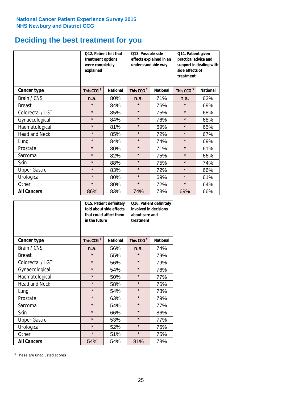## **Deciding the best treatment for you**

|                      | treatment options<br>were completely<br>explained | Q12. Patient felt that | Q13. Possible side<br>understandable way | effects explained in an | Q14. Patient given<br>practical advice and<br>support in dealing with<br>side effects of<br>treatment |                 |  |
|----------------------|---------------------------------------------------|------------------------|------------------------------------------|-------------------------|-------------------------------------------------------------------------------------------------------|-----------------|--|
| <b>Cancer type</b>   | This CCG <sup>\$</sup>                            | <b>National</b>        | This CCG <sup>\$</sup>                   | <b>National</b>         | This CCG <sup>\$</sup>                                                                                | <b>National</b> |  |
| Brain / CNS          | n.a.                                              | 80%                    | n.a.                                     | 71%                     | n.a.                                                                                                  | 62%             |  |
| <b>Breast</b>        | $\star$                                           | 84%                    | $\star$                                  | 76%                     | $\star$                                                                                               | 69%             |  |
| Colorectal / LGT     | $\star$                                           | 85%                    | $\star$                                  | 75%                     | $\star$                                                                                               | 68%             |  |
| Gynaecological       | $\star$                                           | 84%                    | $\star$                                  | 76%                     | $\star$                                                                                               | 68%             |  |
| Haematological       | $\star$                                           | 81%                    | $\star$                                  | 69%                     | $\star$                                                                                               | 65%             |  |
| <b>Head and Neck</b> | $\star$                                           | 85%                    | $\star$                                  | 72%                     | $\star$                                                                                               | 67%             |  |
| Lung                 | $\star$                                           | 84%                    | $\star$                                  | 74%                     | $\star$                                                                                               | 69%             |  |
| Prostate             | $\star$                                           | 80%                    | $\star$                                  | 71%                     | $\star$                                                                                               | 61%             |  |
| Sarcoma              | $\star$                                           | 82%                    | $\star$                                  | 75%                     | $\star$                                                                                               | 66%             |  |
| Skin                 | $\star$                                           | 88%                    | $\star$                                  | 75%                     | $\star$                                                                                               | 74%             |  |
| <b>Upper Gastro</b>  | $\star$                                           | 83%                    | $\star$                                  | 72%                     | $\star$                                                                                               | 66%             |  |
| Urological           | $\star$                                           | 80%                    | $\star$                                  | 69%                     | $\star$                                                                                               | 61%             |  |
| Other                | $\star$                                           | 80%                    | $\star$                                  | 72%                     | $\star$                                                                                               | 64%             |  |
| <b>All Cancers</b>   | 86%                                               | 83%                    | 74%                                      | 73%                     | 69%                                                                                                   | 66%             |  |

|                      | in the future          | Q15. Patient definitely<br>told about side effects<br>that could affect them | Q16. Patient definitely<br>involved in decisions<br>about care and<br>treatment |                 |  |
|----------------------|------------------------|------------------------------------------------------------------------------|---------------------------------------------------------------------------------|-----------------|--|
| <b>Cancer type</b>   | This CCG <sup>\$</sup> | <b>National</b>                                                              | This CCG <sup>\$</sup>                                                          | <b>National</b> |  |
| Brain / CNS          | n.a.                   | 56%                                                                          | n.a.                                                                            | 74%             |  |
| <b>Breast</b>        | $\star$                | 55%                                                                          | $\star$                                                                         | 79%             |  |
| Colorectal / LGT     | $\star$                | 56%                                                                          | $\star$                                                                         | 79%             |  |
| Gynaecological       | $\star$<br>54%         |                                                                              | $\star$                                                                         | 76%             |  |
| Haematological       | $\star$<br>50%         |                                                                              | $\star$                                                                         | 77%             |  |
| <b>Head and Neck</b> | $\star$                | 58%                                                                          | $\star$                                                                         | 76%             |  |
| Lung                 | $\star$                | 54%                                                                          | $\star$                                                                         | 78%             |  |
| Prostate             | $\star$                | 63%                                                                          | $\star$                                                                         | 79%             |  |
| Sarcoma              | $\star$                | 54%                                                                          | $\star$                                                                         | 77%             |  |
| Skin                 | $\star$                | 66%                                                                          | $\star$                                                                         | 86%             |  |
| <b>Upper Gastro</b>  | $\star$                | 53%                                                                          | $\star$                                                                         | 77%             |  |
| Urological           | $\star$                | 52%                                                                          | $\star$                                                                         | 75%             |  |
| Other                | $\star$                | 51%                                                                          | $\star$                                                                         | 75%             |  |
| <b>All Cancers</b>   | 54%                    | 54%                                                                          | 81%                                                                             | 78%             |  |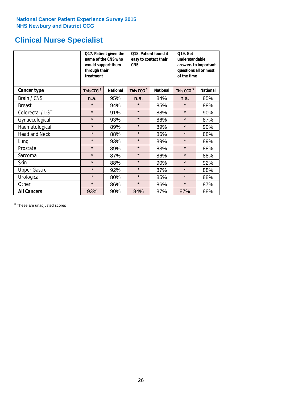## **Clinical Nurse Specialist**

|                     | would support them<br>through their<br>treatment | Q17. Patient given the<br>name of the CNS who | Q18. Patient found it<br>easy to contact their<br><b>CNS</b> |                 | <b>Q19. Get</b><br>understandable<br>answers to important<br>questions all or most<br>of the time |                 |  |
|---------------------|--------------------------------------------------|-----------------------------------------------|--------------------------------------------------------------|-----------------|---------------------------------------------------------------------------------------------------|-----------------|--|
| <b>Cancer type</b>  | This CCG <sup>\$</sup>                           | <b>National</b>                               | This CCG <sup>\$</sup>                                       | <b>National</b> | This CCG <sup>\$</sup>                                                                            | <b>National</b> |  |
| Brain / CNS         | n.a.                                             | 95%                                           | n.a.                                                         | 84%             | n.a.                                                                                              | 85%             |  |
| <b>Breast</b>       | $\star$                                          | 94%                                           | $\star$                                                      | 85%             | $\star$                                                                                           | 88%             |  |
| Colorectal / LGT    | $\star$                                          | 91%                                           | $\star$                                                      | 88%             | $\star$                                                                                           | 90%             |  |
| Gynaecological      | $\star$                                          | 93%                                           | $\star$                                                      | 86%             | $\star$                                                                                           | 87%             |  |
| Haematological      | $\star$                                          | 89%                                           | $\star$                                                      | 89%             | $\star$                                                                                           | 90%             |  |
| Head and Neck       | $\star$                                          | 88%                                           | $\star$                                                      | 86%             | $\star$                                                                                           | 88%             |  |
| Lung                | $\star$                                          | 93%                                           | $\star$                                                      | 89%             | $\star$                                                                                           | 89%             |  |
| Prostate            | $\star$                                          | 89%                                           | $\star$                                                      | 83%             | $\star$                                                                                           | 88%             |  |
| Sarcoma             | $\star$                                          | 87%                                           | $\star$                                                      | 86%             | $\star$                                                                                           | 88%             |  |
| Skin                | $\star$                                          | 88%                                           | $\star$                                                      | 90%             | $\star$                                                                                           | 92%             |  |
| <b>Upper Gastro</b> | $\star$                                          | 92%                                           | $\star$                                                      | 87%             | $\star$                                                                                           | 88%             |  |
| Urological          | $\star$                                          | 80%                                           | $\star$                                                      | 85%             | $\star$                                                                                           | 88%             |  |
| Other               | $\star$                                          | 86%                                           | $\star$                                                      | 86%             | $\star$                                                                                           | 87%             |  |
| <b>All Cancers</b>  | 93%                                              | 90%                                           | 84%                                                          | 87%             | 87%                                                                                               | 88%             |  |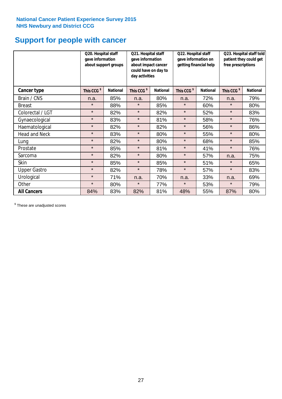## **Support for people with cancer**

|                      | Q20. Hospital staff<br>gave information<br>about support groups |                 | Q21. Hospital staff<br>gave information<br>about impact cancer<br>could have on day to<br>day activities |                 | Q22. Hospital staff<br>gave information on<br>getting financial help |                 | Q23. Hospital staff told<br>patient they could get<br>free prescriptions |                 |
|----------------------|-----------------------------------------------------------------|-----------------|----------------------------------------------------------------------------------------------------------|-----------------|----------------------------------------------------------------------|-----------------|--------------------------------------------------------------------------|-----------------|
| Cancer type          | This CCG <sup>\$</sup>                                          | <b>National</b> | This CCG <sup>\$</sup>                                                                                   | <b>National</b> | This CCG <sup>\$</sup>                                               | <b>National</b> | This CCG <sup>\$</sup>                                                   | <b>National</b> |
| Brain / CNS          | n.a.                                                            | 85%             | n.a.                                                                                                     | 80%             | n.a.                                                                 | 72%             | n.a.                                                                     | 79%             |
| <b>Breast</b>        | $\star$                                                         | 88%             | $\star$                                                                                                  | 85%             | $\star$                                                              | 60%             | $\star$                                                                  | 80%             |
| Colorectal / LGT     | $\star$                                                         | 82%             | $\star$                                                                                                  | 82%             | $\star$                                                              | 52%             | $\star$                                                                  | 83%             |
| Gynaecological       | $\star$                                                         | 83%             | $\star$                                                                                                  | 81%             | $\star$                                                              | 58%             | $\star$                                                                  | 76%             |
| Haematological       | $\star$                                                         | 82%             | $\star$                                                                                                  | 82%             | $\star$                                                              | 56%             | $\star$                                                                  | 86%             |
| <b>Head and Neck</b> | $\star$                                                         | 83%             | $\star$                                                                                                  | 80%             | $\star$                                                              | 55%             | $\star$                                                                  | 80%             |
| Lung                 | $\star$                                                         | 82%             | $\star$                                                                                                  | 80%             | $\star$                                                              | 68%             | $\star$                                                                  | 85%             |
| Prostate             | $\star$                                                         | 85%             | $\star$                                                                                                  | 81%             | $\star$                                                              | 41%             | $\star$                                                                  | 76%             |
| Sarcoma              | $\star$                                                         | 82%             | $\star$                                                                                                  | 80%             | $\star$                                                              | 57%             | n.a.                                                                     | 75%             |
| Skin                 | $\star$                                                         | 85%             | $\star$                                                                                                  | 85%             | $\star$                                                              | 51%             | $\star$                                                                  | 65%             |
| <b>Upper Gastro</b>  | $\star$                                                         | 82%             | $\star$                                                                                                  | 78%             | $\star$                                                              | 57%             | $\star$                                                                  | 83%             |
| Urological           | $\star$                                                         | 71%             | n.a.                                                                                                     | 70%             | n.a.                                                                 | 33%             | n.a.                                                                     | 69%             |
| Other                | $\star$                                                         | 80%             | $\star$                                                                                                  | 77%             | $\star$                                                              | 53%             | $\star$                                                                  | 79%             |
| <b>All Cancers</b>   | 84%                                                             | 83%             | 82%                                                                                                      | 81%             | 48%                                                                  | 55%             | 87%                                                                      | 80%             |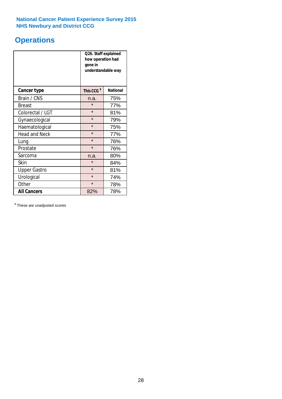## **Operations**

|                      | Q26. Staff explained<br>how operation had<br>gone in<br>understandable way |                 |  |  |
|----------------------|----------------------------------------------------------------------------|-----------------|--|--|
| <b>Cancer type</b>   | This CCG <sup>\$</sup>                                                     | <b>National</b> |  |  |
| Brain / CNS          | n.a.                                                                       | 75%             |  |  |
| <b>Breast</b>        | $\star$                                                                    | 77%             |  |  |
| Colorectal / LGT     | $\star$                                                                    | 81%             |  |  |
| Gynaecological       | $\star$                                                                    | 79%             |  |  |
| Haematological       | $\star$                                                                    | 75%             |  |  |
| <b>Head and Neck</b> | $\star$                                                                    | 77%             |  |  |
| Lung                 | $\star$                                                                    | 76%             |  |  |
| Prostate             | $\star$                                                                    | 76%             |  |  |
| Sarcoma              | n.a.                                                                       | 80%             |  |  |
| Skin                 | $\star$                                                                    | 84%             |  |  |
| <b>Upper Gastro</b>  | $\star$                                                                    | 81%             |  |  |
| Urological           | $\star$                                                                    | 74%             |  |  |
| Other                | $\star$                                                                    | 78%             |  |  |
| <b>All Cancers</b>   | 82%                                                                        | 78%             |  |  |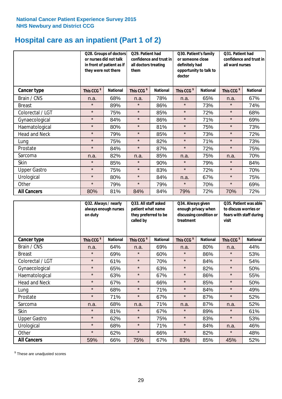## **Hospital care as an inpatient (Part 1 of 2)**

|                     | or nurses did not talk<br>they were not there | Q28. Groups of doctors<br>in front of patient as if | Q29. Patient had<br>confidence and trust in<br>all doctors treating<br>them |                 | Q30. Patient's family<br>or someone close<br>definitely had<br>opportunity to talk to<br>doctor |                 | Q31. Patient had<br>confidence and trust in I<br>all ward nurses |                 |
|---------------------|-----------------------------------------------|-----------------------------------------------------|-----------------------------------------------------------------------------|-----------------|-------------------------------------------------------------------------------------------------|-----------------|------------------------------------------------------------------|-----------------|
| Cancer type         | This CCG <sup>\$</sup>                        | <b>National</b>                                     | This CCG <sup>\$</sup>                                                      | <b>National</b> | This CCG <sup>\$</sup>                                                                          | <b>National</b> | This CCG <sup>\$</sup>                                           | <b>National</b> |
| Brain / CNS         | n.a.                                          | 68%                                                 | n.a.                                                                        | 78%             | n.a.                                                                                            | 65%             | n.a.                                                             | 67%             |
| <b>Breast</b>       | $\star$                                       | 89%                                                 | $\star$                                                                     | 86%             | $\star$                                                                                         | 73%             | $\star$                                                          | 74%             |
| Colorectal / LGT    | $\star$                                       | 75%                                                 | $\star$                                                                     | 85%             | $\star$                                                                                         | 72%             | $\star$                                                          | 68%             |
| Gynaecological      | $\star$                                       | 84%                                                 | $\star$                                                                     | 86%             | $\star$                                                                                         | 71%             | $\star$                                                          | 69%             |
| Haematological      | $\star$                                       | 80%                                                 | $\star$                                                                     | 81%             | $\star$                                                                                         | 75%             | $\star$                                                          | 73%             |
| Head and Neck       | $\star$                                       | 79%                                                 | $\star$                                                                     | 85%             | $\star$                                                                                         | 73%             | $\star$                                                          | 72%             |
| Lung                | $\star$                                       | 75%                                                 | $\star$                                                                     | 82%             | $\star$                                                                                         | 71%             | $\star$                                                          | 73%             |
| Prostate            | $\star$                                       | 84%                                                 | $\star$                                                                     | 87%             | $\star$                                                                                         | 72%             | $\star$                                                          | 75%             |
| Sarcoma             | n.a.                                          | 82%                                                 | n.a.                                                                        | 85%             | n.a.                                                                                            | 75%             | n.a.                                                             | 70%             |
| Skin                | $\star$                                       | 85%                                                 | $\star$                                                                     | 90%             | $\star$                                                                                         | 79%             | $\star$                                                          | 84%             |
| <b>Upper Gastro</b> | $\star$                                       | 75%                                                 | $\star$                                                                     | 83%             | $\star$                                                                                         | 72%             | $\star$                                                          | 70%             |
| Urological          | $\star$                                       | 80%                                                 | $\star$                                                                     | 84%             | n.a.                                                                                            | 67%             | $\star$                                                          | 75%             |
| Other               | $\star$                                       | 79%                                                 | $\star$                                                                     | 79%             | $\star$                                                                                         | 70%             | $\star$                                                          | 69%             |
| <b>All Cancers</b>  | 80%                                           | 81%                                                 | 84%                                                                         | 84%             | 79%                                                                                             | 72%             | 70%                                                              | 72%             |

|                      | Q32. Always / nearly<br>always enough nurses<br>on duty |                 | Q33. All staff asked<br>patient what name<br>they preferred to be<br>called by |                 | Q34. Always given<br>enough privacy when<br>discussing condition or<br>treatment |                 | Q35. Patient was able<br>to discuss worries or<br>fears with staff during<br>visit |                 |
|----------------------|---------------------------------------------------------|-----------------|--------------------------------------------------------------------------------|-----------------|----------------------------------------------------------------------------------|-----------------|------------------------------------------------------------------------------------|-----------------|
| <b>Cancer type</b>   | This CCG <sup>\$</sup>                                  | <b>National</b> | This CCG <sup>\$</sup>                                                         | <b>National</b> | This CCG <sup>\$</sup>                                                           | <b>National</b> | This CCG <sup>\$</sup>                                                             | <b>National</b> |
| Brain / CNS          | n.a.                                                    | 64%             | n.a.                                                                           | 69%             | n.a.                                                                             | 80%             | n.a.                                                                               | 44%             |
| <b>Breast</b>        | $\star$                                                 | 69%             | $\star$                                                                        | 60%             | $\star$                                                                          | 86%             | $\star$                                                                            | 53%             |
| Colorectal / LGT     | $\star$                                                 | 61%             | $\star$                                                                        | 70%             | $\star$                                                                          | 84%             | $\star$                                                                            | 54%             |
| Gynaecological       | $\star$                                                 | 65%             | $\star$                                                                        | 63%             | $\star$                                                                          | 82%             | $\star$                                                                            | 50%             |
| Haematological       | $\star$                                                 | 63%             | $\star$                                                                        | 67%             | $\star$                                                                          | 86%             | $\star$                                                                            | 55%             |
| <b>Head and Neck</b> | $\star$                                                 | 67%             | $\star$                                                                        | 66%             | $\star$                                                                          | 85%             | $\star$                                                                            | 50%             |
| Lung                 | $\star$                                                 | 68%             | $\star$                                                                        | 71%             | $\star$                                                                          | 84%             | $\star$                                                                            | 49%             |
| Prostate             | $\star$                                                 | 71%             | $\star$                                                                        | 67%             | $\star$                                                                          | 87%             | $\star$                                                                            | 52%             |
| Sarcoma              | n.a.                                                    | 68%             | n.a.                                                                           | 71%             | n.a.                                                                             | 87%             | n.a.                                                                               | 52%             |
| Skin                 | $\star$                                                 | 81%             | $\star$                                                                        | 67%             | $\star$                                                                          | 89%             | $\star$                                                                            | 61%             |
| <b>Upper Gastro</b>  | $\star$                                                 | 62%             | $\star$                                                                        | 75%             | $\star$                                                                          | 83%             | $\star$                                                                            | 53%             |
| Urological           | $\star$                                                 | 68%             | $\star$                                                                        | 71%             | $\star$                                                                          | 84%             | n.a.                                                                               | 46%             |
| Other                | $\star$                                                 | 62%             | $\star$                                                                        | 66%             | $\star$                                                                          | 82%             | $\star$                                                                            | 48%             |
| <b>All Cancers</b>   | 59%                                                     | 66%             | 75%                                                                            | 67%             | 83%                                                                              | 85%             | 45%                                                                                | 52%             |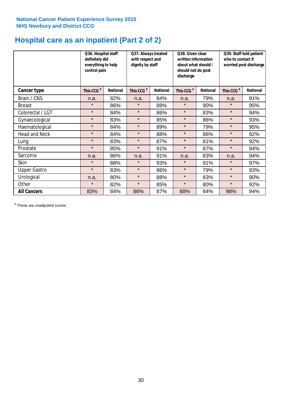## **Hospital care as an inpatient (Part 2 of 2)**

|                      | Q36. Hospital staff<br>definitely did<br>everything to help<br>control pain |                 | Q37. Always treated<br>with respect and<br>dignity by staff |                 | Q38. Given clear<br>written information<br>about what should /<br>should not do post<br>discharge |                 | Q39. Staff told patient<br>who to contact if<br>worried post discharge |                 |
|----------------------|-----------------------------------------------------------------------------|-----------------|-------------------------------------------------------------|-----------------|---------------------------------------------------------------------------------------------------|-----------------|------------------------------------------------------------------------|-----------------|
| Cancer type          | This CCG <sup>\$</sup>                                                      | <b>National</b> | This CCG <sup>\$</sup>                                      | <b>National</b> | This CCG <sup>\$</sup>                                                                            | <b>National</b> | This CCG <sup>\$</sup>                                                 | <b>National</b> |
| Brain / CNS          | n.a.                                                                        | 82%             | n.a.                                                        | 84%             | n.a.                                                                                              | 79%             | n.a.                                                                   | 91%             |
| <b>Breast</b>        | $\star$                                                                     | 86%             | $\star$                                                     | 88%             | $\star$                                                                                           | 90%             | $\star$                                                                | 95%             |
| Colorectal / LGT     | $\star$                                                                     | 84%             | $\star$                                                     | 86%             | $\star$                                                                                           | 83%             | $\star$                                                                | 94%             |
| Gynaecological       | $\star$                                                                     | 83%             | $\star$                                                     | 85%             | $\star$                                                                                           | 86%             | $\star$                                                                | 93%             |
| Haematological       | $\star$                                                                     | 84%             | $\star$                                                     | 89%             | $\star$                                                                                           | 79%             | $\star$                                                                | 95%             |
| <b>Head and Neck</b> | $\star$                                                                     | 84%             | $\star$                                                     | 88%             | $\star$                                                                                           | 86%             | $\star$                                                                | 92%             |
| Lung                 | $\star$                                                                     | 83%             | $\star$                                                     | 87%             | $\star$                                                                                           | 81%             | $\star$                                                                | 92%             |
| Prostate             | $\star$                                                                     | 85%             | $\star$                                                     | 91%             | $\star$                                                                                           | 87%             | $\star$                                                                | 94%             |
| Sarcoma              | n.a.                                                                        | 86%             | n.a.                                                        | 91%             | n.a.                                                                                              | 83%             | n.a.                                                                   | 94%             |
| Skin                 | $\star$                                                                     | 88%             | $\star$                                                     | 93%             | $\star$                                                                                           | 91%             | $\star$                                                                | 97%             |
| <b>Upper Gastro</b>  | $\star$                                                                     | 83%             | $\star$                                                     | 86%             | $\star$                                                                                           | 79%             | $\star$                                                                | 93%             |
| Urological           | n.a.                                                                        | 80%             | $\star$                                                     | 88%             | $\star$                                                                                           | 83%             | $\star$                                                                | 90%             |
| Other                | $\star$                                                                     | 82%             | $\star$                                                     | 85%             | $\star$                                                                                           | 80%             | $\star$                                                                | 92%             |
| <b>All Cancers</b>   | 83%                                                                         | 84%             | 86%                                                         | 87%             | 88%                                                                                               | 84%             | 98%                                                                    | 94%             |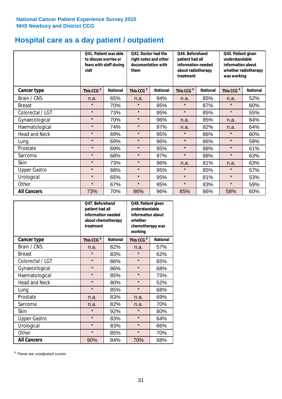## **Hospital care as a day patient / outpatient**

|                      | to discuss worries or<br>visit | Q41. Patient was able<br>fears with staff during | 042. Doctor had the<br>right notes and other<br>documentation with<br>them |                 | Q44. Beforehand<br>patient had all<br>information needed<br>about radiotherapy<br>treatment |                 | Q45. Patient given<br>understandable<br>information about<br>whether radiotherapy<br>was working |                 |
|----------------------|--------------------------------|--------------------------------------------------|----------------------------------------------------------------------------|-----------------|---------------------------------------------------------------------------------------------|-----------------|--------------------------------------------------------------------------------------------------|-----------------|
| Cancer type          | This CCG <sup>\$</sup>         | <b>National</b>                                  | This CCG <sup>\$</sup>                                                     | <b>National</b> | This CCG <sup>\$</sup>                                                                      | <b>National</b> | This CCG <sup>\$</sup>                                                                           | <b>National</b> |
| Brain / CNS          | n.a.                           | 65%                                              | n.a.                                                                       | 94%             | n.a.                                                                                        | 85%             | n.a.                                                                                             | 52%             |
| <b>Breast</b>        | $\star$                        | 70%                                              | $\star$                                                                    | 95%             | $\star$                                                                                     | 87%             | $\star$                                                                                          | 60%             |
| Colorectal / LGT     | $\star$                        | 73%                                              | $\star$                                                                    | 95%             | $\star$                                                                                     | 85%             | $\star$                                                                                          | 55%             |
| Gynaecological       | $\star$                        | 70%                                              | $\star$                                                                    | 96%             | n.a.                                                                                        | 85%             | n.a.                                                                                             | 64%             |
| Haematological       | $\star$                        | 74%                                              | $\star$                                                                    | 97%             | n.a.                                                                                        | 82%             | n.a.                                                                                             | 64%             |
| <b>Head and Neck</b> | $\star$                        | 69%                                              | $\star$                                                                    | 95%             | $\star$                                                                                     | 86%             | $\star$                                                                                          | 60%             |
| Lung                 | $\star$                        | 69%                                              | $\star$                                                                    | 96%             | $\star$                                                                                     | 86%             | $\star$                                                                                          | 59%             |
| Prostate             | $\star$                        | 69%                                              | $\star$                                                                    | 95%             | $\star$                                                                                     | 88%             | $\star$                                                                                          | 61%             |
| Sarcoma              | $\star$                        | 68%                                              | $\star$                                                                    | 97%             | $\star$                                                                                     | 88%             | $\star$                                                                                          | 63%             |
| Skin                 | $\star$                        | 73%                                              | $\star$                                                                    | 96%             | n.a.                                                                                        | 81%             | n.a.                                                                                             | 63%             |
| <b>Upper Gastro</b>  | $\star$                        | 68%                                              | $\star$                                                                    | 95%             | $\star$                                                                                     | 85%             | $\star$                                                                                          | 57%             |
| Urological           | $\star$                        | 65%                                              | $\star$                                                                    | 95%             | $\star$                                                                                     | 81%             | $\star$                                                                                          | 53%             |
| Other                | $\star$                        | 67%                                              | $\star$                                                                    | 95%             | $\star$                                                                                     | 83%             | $\star$                                                                                          | 59%             |
| <b>All Cancers</b>   | 73%                            | 70%                                              | 96%                                                                        | 96%             | 85%                                                                                         | 86%             | 58%                                                                                              | 60%             |

|                      | O47. Beforehand<br>patient had all<br>information needed<br>about chemotherapy<br>treatment |                 | Q48. Patient given<br>understandable<br>information about<br>whether<br>chemotherapy was<br>working |                 |  |
|----------------------|---------------------------------------------------------------------------------------------|-----------------|-----------------------------------------------------------------------------------------------------|-----------------|--|
| <b>Cancer type</b>   | This CCG <sup>\$</sup>                                                                      | <b>National</b> | This CCG <sup>\$</sup>                                                                              | <b>National</b> |  |
| Brain / CNS          | n.a.                                                                                        | 82%             | n.a.                                                                                                | 57%             |  |
| <b>Breast</b>        | $\star$                                                                                     | 83%             | $\star$                                                                                             | 62%             |  |
| Colorectal / LGT     | $\star$                                                                                     | 86%             | $\star$                                                                                             | 65%             |  |
| Gynaecological       | $\star$                                                                                     | 86%             | $\star$                                                                                             | 68%             |  |
| Haematological       | $\star$                                                                                     | 85%             | $\star$                                                                                             | 75%             |  |
| <b>Head and Neck</b> | $\star$                                                                                     | 80%             | $\star$                                                                                             | 52%             |  |
| Lung                 | $\star$                                                                                     | 85%             | $\star$                                                                                             | 68%             |  |
| Prostate             | n.a.                                                                                        | 83%             | n.a.                                                                                                | 69%             |  |
| Sarcoma              | n.a.                                                                                        | 82%             | n.a.                                                                                                | 70%             |  |
| Skin                 | $\star$                                                                                     | 92%             | $\star$                                                                                             | 80%             |  |
| <b>Upper Gastro</b>  | $\star$                                                                                     | 83%             | $\star$                                                                                             | 64%             |  |
| Urological           | $\star$                                                                                     | 83%             | $\star$                                                                                             | 66%             |  |
| Other                | $\star$                                                                                     | 85%             | $\star$                                                                                             | 70%             |  |
| <b>All Cancers</b>   | 90%                                                                                         | 84%             | 70%                                                                                                 | 68%             |  |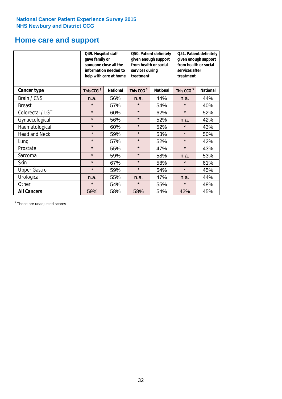## **Home care and support**

|                      | Q49. Hospital staff<br>gave family or | someone close all the<br>information needed to<br>help with care at home | Q50. Patient definitely<br>given enough support<br>from health or social<br>services during<br>treatment |                 | Q51. Patient definitely<br>given enough support<br>from health or social<br>services after<br>treatment |                 |
|----------------------|---------------------------------------|--------------------------------------------------------------------------|----------------------------------------------------------------------------------------------------------|-----------------|---------------------------------------------------------------------------------------------------------|-----------------|
| <b>Cancer type</b>   | This CCG <sup>\$</sup>                | <b>National</b>                                                          | This CCG <sup>\$</sup>                                                                                   | <b>National</b> | This CCG <sup>\$</sup>                                                                                  | <b>National</b> |
| Brain / CNS          | n.a.                                  | 56%                                                                      | n.a.                                                                                                     | 44%             | n.a.                                                                                                    | 44%             |
| <b>Breast</b>        | $\star$                               | 57%                                                                      | $\star$                                                                                                  | 54%             | $\star$                                                                                                 | 40%             |
| Colorectal / LGT     | $\star$                               | 60%                                                                      | $\star$                                                                                                  | 62%             | $\star$                                                                                                 | 52%             |
| Gynaecological       | $\star$                               | 56%                                                                      | $\star$                                                                                                  | 52%             | n.a.                                                                                                    | 42%             |
| Haematological       | $\star$                               | 60%                                                                      | $\star$                                                                                                  | 52%             | $\star$                                                                                                 | 43%             |
| <b>Head and Neck</b> | $\star$                               | 59%                                                                      | $\star$                                                                                                  | 53%             | $\star$                                                                                                 | 50%             |
| Lung                 | $\star$                               | 57%                                                                      | $\star$                                                                                                  | 52%             | $\star$                                                                                                 | 42%             |
| Prostate             | $\star$                               | 55%                                                                      | $\star$                                                                                                  | 47%             | $\star$                                                                                                 | 43%             |
| Sarcoma              | $\star$                               | 59%                                                                      | $\star$                                                                                                  | 58%             | n.a.                                                                                                    | 53%             |
| Skin                 | $\star$                               | 67%                                                                      | $\star$                                                                                                  | 58%             | $\star$                                                                                                 | 61%             |
| <b>Upper Gastro</b>  | $\star$                               | 59%                                                                      | $\star$                                                                                                  | 54%             | $\star$                                                                                                 | 45%             |
| Urological           | n.a.                                  | 55%                                                                      | n.a.                                                                                                     | 47%             | n.a.                                                                                                    | 44%             |
| Other                | $\star$                               | 54%                                                                      | $\star$                                                                                                  | 55%             | $\star$                                                                                                 | 48%             |
| <b>All Cancers</b>   | 59%                                   | 58%                                                                      | 58%                                                                                                      | 54%             | 42%                                                                                                     | 45%             |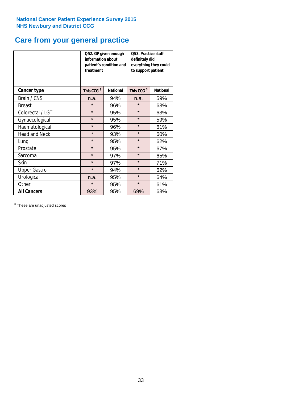## **Care from your general practice**

|                      | information about<br>treatment | Q52. GP given enough<br>patient's condition and | Q53. Practice staff<br>definitely did<br>everything they could<br>to support patient |                 |  |
|----------------------|--------------------------------|-------------------------------------------------|--------------------------------------------------------------------------------------|-----------------|--|
| <b>Cancer type</b>   | This CCG <sup>\$</sup>         | <b>National</b>                                 | This CCG <sup>\$</sup>                                                               | <b>National</b> |  |
| Brain / CNS          | n.a.                           | 94%                                             | n.a.                                                                                 | 59%             |  |
| <b>Breast</b>        | $\star$                        | 96%                                             | $\star$                                                                              | 63%             |  |
| Colorectal / LGT     | $\star$                        | 95%                                             | $\star$                                                                              | 63%             |  |
| Gynaecological       | $\star$                        | 95%                                             | $\star$                                                                              | 59%             |  |
| Haematological       | $\star$                        | 96%                                             | $\star$                                                                              | 61%             |  |
| <b>Head and Neck</b> | $\star$                        | 93%                                             | $\star$                                                                              | 60%             |  |
| Lung                 | $\star$                        | 95%                                             | $\star$                                                                              | 62%             |  |
| Prostate             | $\star$                        | 95%                                             | $\star$                                                                              | 67%             |  |
| Sarcoma              | $\star$                        | 97%                                             | $\star$                                                                              | 65%             |  |
| Skin                 | $\star$                        | 97%                                             | $\star$                                                                              | 71%             |  |
| <b>Upper Gastro</b>  | $\star$                        | 94%                                             | $\star$                                                                              | 62%             |  |
| Urological           | n.a.                           | 95%                                             | $\star$                                                                              | 64%             |  |
| Other                | $\star$                        | 95%                                             | $\star$                                                                              | 61%             |  |
| <b>All Cancers</b>   | 93%                            | 95%                                             | 69%                                                                                  | 63%             |  |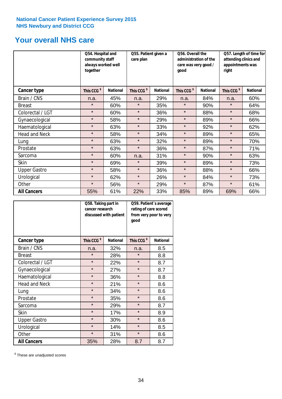## **Your overall NHS care**

|                      | Q54. Hospital and<br>community staff<br>always worked well<br>together |                 | Q55. Patient given a<br>care plan |                 | Q56. Overall the<br>administration of the<br>care was very good /<br>qood |                 | Q57. Length of time for<br>attending clinics and<br>appointments was<br>right |                 |
|----------------------|------------------------------------------------------------------------|-----------------|-----------------------------------|-----------------|---------------------------------------------------------------------------|-----------------|-------------------------------------------------------------------------------|-----------------|
| <b>Cancer type</b>   | This CCG <sup>\$</sup>                                                 | <b>National</b> | This CCG <sup>\$</sup>            | <b>National</b> | This CCG <sup>\$</sup>                                                    | <b>National</b> | This CCG <sup>\$</sup>                                                        | <b>National</b> |
| Brain / CNS          | n.a.                                                                   | 45%             | n.a.                              | 29%             | n.a.                                                                      | 84%             | n.a.                                                                          | 60%             |
| <b>Breast</b>        | $\star$                                                                | 60%             | $\star$                           | 35%             | $\star$                                                                   | 90%             | $\star$                                                                       | 64%             |
| Colorectal / LGT     | $\star$                                                                | 60%             | $\star$                           | 36%             | $\star$                                                                   | 88%             | $\star$                                                                       | 68%             |
| Gynaecological       | $\star$                                                                | 58%             | $\star$                           | 29%             | $\star$                                                                   | 89%             | $\star$                                                                       | 66%             |
| Haematological       | $\star$                                                                | 63%             | $\star$                           | 33%             | $\star$                                                                   | 92%             | $\star$                                                                       | 62%             |
| <b>Head and Neck</b> | $\star$                                                                | 58%             | $\star$                           | 34%             | $\star$                                                                   | 89%             | $\star$                                                                       | 65%             |
| Lung                 | $\star$                                                                | 63%             | $\star$                           | 32%             | $\star$                                                                   | 89%             | $\star$                                                                       | 70%             |
| Prostate             | $\star$                                                                | 63%             | $\star$                           | 36%             | $\star$                                                                   | 87%             | $\star$                                                                       | 71%             |
| Sarcoma              | $\star$                                                                | 60%             | n.a.                              | 31%             | $\star$                                                                   | 90%             | $\star$                                                                       | 63%             |
| Skin                 | $\star$                                                                | 69%             | $\star$                           | 39%             | $\star$                                                                   | 89%             | $\star$                                                                       | 73%             |
| <b>Upper Gastro</b>  | $\star$                                                                | 58%             | $\star$                           | 36%             | $\star$                                                                   | 88%             | $\star$                                                                       | 66%             |
| Urological           | $\star$                                                                | 62%             | $\star$                           | 26%             | $\star$                                                                   | 84%             | $\star$                                                                       | 73%             |
| Other                | $\star$                                                                | 56%             | $\star$                           | 29%             | $\star$                                                                   | 87%             | $\star$                                                                       | 61%             |
| <b>All Cancers</b>   | 55%                                                                    | 61%             | 22%                               | 33%             | 85%                                                                       | 89%             | 69%                                                                           | 66%             |

|                      | Q58. Taking part in<br>cancer research | discussed with patient | Q59. Patient's average<br>rating of care scored<br>from very poor to very<br>good |                 |  |
|----------------------|----------------------------------------|------------------------|-----------------------------------------------------------------------------------|-----------------|--|
| <b>Cancer type</b>   | This CCG <sup>\$</sup>                 | <b>National</b>        | This CCG <sup>\$</sup>                                                            | <b>National</b> |  |
| Brain / CNS          | n.a.                                   | 32%                    | n.a.                                                                              | 8.5             |  |
| <b>Breast</b>        | $\star$                                | 28%                    | $\star$                                                                           | 8.8             |  |
| Colorectal / LGT     | $\star$                                | 22%                    | $\star$                                                                           | 8.7             |  |
| Gynaecological       | $\star$                                | 27%                    | $\star$                                                                           | 8.7             |  |
| Haematological       | $\star$                                | 36%                    | $\star$                                                                           | 8.8             |  |
| <b>Head and Neck</b> | $\star$                                | 21%                    | $\star$                                                                           | 8.6             |  |
| Lung                 | $\star$                                | 34%                    | $\star$                                                                           | 8.6             |  |
| Prostate             | $\star$                                | 35%                    | $\star$                                                                           | 8.6             |  |
| Sarcoma              | $\star$                                | 29%                    | $\star$                                                                           | 8.7             |  |
| Skin                 | $\star$                                | 17%                    | $\star$                                                                           | 8.9             |  |
| <b>Upper Gastro</b>  | $\star$                                | 30%                    | $\star$                                                                           | 8.6             |  |
| Urological           | $\star$                                | 14%                    | $\star$                                                                           | 8.5             |  |
| Other                | $\star$                                | 31%                    | $\star$                                                                           | 8.6             |  |
| <b>All Cancers</b>   | 35%                                    | 28%                    | 8.7                                                                               | 8.7             |  |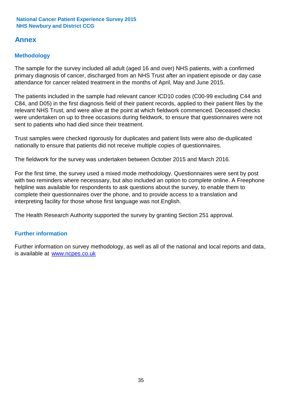## **Annex**

## **Methodology**

The sample for the survey included all adult (aged 16 and over) NHS patients, with a confirmed primary diagnosis of cancer, discharged from an NHS Trust after an inpatient episode or day case attendance for cancer related treatment in the months of April, May and June 2015.

The patients included in the sample had relevant cancer ICD10 codes (C00-99 excluding C44 and C84, and D05) in the first diagnosis field of their patient records, applied to their patient files by the relevant NHS Trust, and were alive at the point at which fieldwork commenced. Deceased checks were undertaken on up to three occasions during fieldwork, to ensure that questionnaires were not sent to patients who had died since their treatment.

Trust samples were checked rigorously for duplicates and patient lists were also de-duplicated nationally to ensure that patients did not receive multiple copies of questionnaires.

The fieldwork for the survey was undertaken between October 2015 and March 2016.

For the first time, the survey used a mixed mode methodology. Questionnaires were sent by post with two reminders where necesssary, but also included an option to complete online. A Freephone helpline was available for respondents to ask questions about the survey, to enable them to complete their questionnaires over the phone, and to provide access to a translation and interpreting facility for those whose first language was not English.

The Health Research Authority supported the survey by granting Section 251 approval.

## **Further information**

Further information on survey methodology, as well as all of the national and local reports and data, is available at www.ncpes.co.uk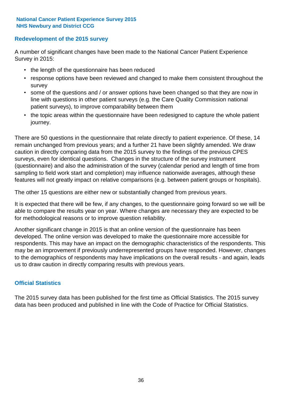### **Redevelopment of the 2015 survey**

A number of significant changes have been made to the National Cancer Patient Experience Survey in 2015:

- the length of the questionnaire has been reduced
- response options have been reviewed and changed to make them consistent throughout the survey
- some of the questions and / or answer options have been changed so that they are now in line with questions in other patient surveys (e.g. the Care Quality Commission national patient surveys), to improve comparability between them
- the topic areas within the questionnaire have been redesigned to capture the whole patient journey.

There are 50 questions in the questionnaire that relate directly to patient experience. Of these, 14 remain unchanged from previous years; and a further 21 have been slightly amended. We draw caution in directly comparing data from the 2015 survey to the findings of the previous CPES surveys, even for identical questions. Changes in the structure of the survey instrument (questionnaire) and also the administration of the survey (calendar period and length of time from sampling to field work start and completion) may influence nationwide averages, although these features will not greatly impact on relative comparisons (e.g. between patient groups or hospitals).

The other 15 questions are either new or substantially changed from previous years.

It is expected that there will be few, if any changes, to the questionnaire going forward so we will be able to compare the results year on year. Where changes are necessary they are expected to be for methodological reasons or to improve question reliability.

Another significant change in 2015 is that an online version of the questionnaire has been developed. The online version was developed to make the questionnaire more accessible for respondents. This may have an impact on the demographic characteristics of the respondents. This may be an improvement if previously underrepresented groups have responded. However, changes to the demographics of respondents may have implications on the overall results - and again, leads us to draw caution in directly comparing results with previous years.

### **Official Statistics**

The 2015 survey data has been published for the first time as Official Statistics. The 2015 survey data has been produced and published in line with the Code of Practice for Official Statistics.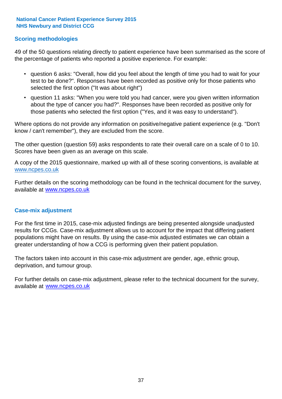### **Scoring methodologies**

49 of the 50 questions relating directly to patient experience have been summarised as the score of the percentage of patients who reported a positive experience. For example:

- question 6 asks: "Overall, how did you feel about the length of time you had to wait for your test to be done?". Responses have been recorded as positive only for those patients who selected the first option ("It was about right")
- question 11 asks: "When you were told you had cancer, were you given written information about the type of cancer you had?". Responses have been recorded as positive only for those patients who selected the first option ("Yes, and it was easy to understand").

Where options do not provide any information on positive/negative patient experience (e.g. "Don't know / can't remember"), they are excluded from the score.

The other question (question 59) asks respondents to rate their overall care on a scale of 0 to 10. Scores have been given as an average on this scale.

A copy of the 2015 questionnaire, marked up with all of these scoring conventions, is available at www.ncpes.co.uk

Further details on the scoring methodology can be found in the technical document for the survey, available at <u>www.ncpes.co.uk</u>

#### **Case-mix adjustment**

For the first time in 2015, case-mix adjusted findings are being presented alongside unadjusted results for CCGs. Case-mix adjustment allows us to account for the impact that differing patient populations might have on results. By using the case-mix adjusted estimates we can obtain a greater understanding of how a CCG is performing given their patient population.

The factors taken into account in this case-mix adjustment are gender, age, ethnic group, deprivation, and tumour group.

For further details on case-mix adjustment, please refer to the technical document for the survey, available at www.ncpes.co.uk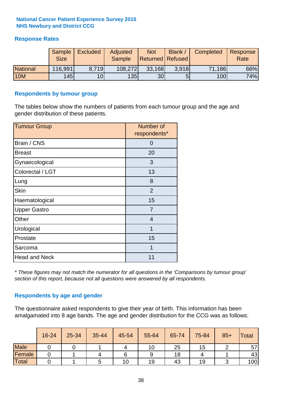### **Response Rates**

|                 | Sample<br><b>Size</b> | <b>Excluded</b> | Adjusted<br><b>Sample</b> | <b>Not</b><br><b>Returned   Refused  </b> | Blank | Completed | Response<br>Rate |
|-----------------|-----------------------|-----------------|---------------------------|-------------------------------------------|-------|-----------|------------------|
| <b>National</b> | 116,991               | 8.719           | 108,272                   | 33,168                                    | 3.918 | 71,186    | 66%              |
| <b>10M</b>      | 145                   | 10 <sub>l</sub> | 135                       | 30 <sub>l</sub>                           |       | 100       | 74%              |

#### **Respondents by tumour group**

The tables below show the numbers of patients from each tumour group and the age and gender distribution of these patients.

| <b>Tumour Group</b>  | Number of<br>respondents* |
|----------------------|---------------------------|
| Brain / CNS          | 0                         |
| <b>Breast</b>        | 20                        |
| Gynaecological       | 3                         |
| Colorectal / LGT     | 13                        |
| Lung                 | 8                         |
| <b>Skin</b>          | 2                         |
| Haematological       | 15                        |
| <b>Upper Gastro</b>  | $\overline{7}$            |
| Other                | $\overline{4}$            |
| Urological           | 1                         |
| Prostate             | 15                        |
| Sarcoma              | 1                         |
| <b>Head and Neck</b> | 11                        |

*\* These figures may not match the numerator for all questions in the 'Comparisons by tumour group' section of this report, because not all questions were answered by all respondents.*

### **Respondents by age and gender**

The questionnaire asked respondents to give their year of birth. This information has been amalgamated into 8 age bands. The age and gender distribution for the CCG was as follows:

|             | 16-24 | 25-34 | 35-44 | 45-54 | 55-64 | 65-74 | 75-84 | $85+$ | <b>Total</b> |
|-------------|-------|-------|-------|-------|-------|-------|-------|-------|--------------|
| <b>Male</b> |       |       |       |       | 10    | 25    | 15    |       | 57           |
| Female      |       |       |       |       |       | 18    |       |       | 43           |
| Total       |       |       |       | 10    | 19    | 43    | 19    |       | 100          |